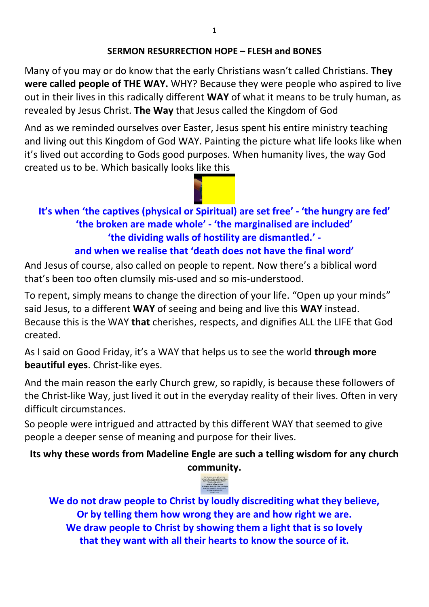### **SERMON RESURRECTION HOPE – FLESH and BONES**

Many of you may or do know that the early Christians wasn't called Christians. **They were called people of THE WAY.** WHY? Because they were people who aspired to live out in their lives in this radically different **WAY** of what it means to be truly human, as revealed by Jesus Christ. **The Way** that Jesus called the Kingdom of God

And as we reminded ourselves over Easter, Jesus spent his entire ministry teaching and living out this Kingdom of God WAY. Painting the picture what life looks like when it's lived out according to Gods good purposes. When humanity lives, the way God created us to be. Which basically looks like this

## **It's when 'the captives (physical or Spiritual) are set free' - 'the hungry are fed' 'the broken are made whole' - 'the marginalised are included' 'the dividing walls of hostility are dismantled.' and when we realise that 'death does not have the final word'**

And Jesus of course, also called on people to repent. Now there's a biblical word that's been too often clumsily mis-used and so mis-understood.

To repent, simply means to change the direction of your life. "Open up your minds" said Jesus, to a different **WAY** of seeing and being and live this **WAY** instead. Because this is the WAY **that** cherishes, respects, and dignifies ALL the LIFE that God created.

As I said on Good Friday, it's a WAY that helps us to see the world **through more beautiful eyes**. Christ-like eyes.

And the main reason the early Church grew, so rapidly, is because these followers of the Christ-like Way, just lived it out in the everyday reality of their lives. Often in very difficult circumstances.

So people were intrigued and attracted by this different WAY that seemed to give people a deeper sense of meaning and purpose for their lives.

**Its why these words from Madeline Engle are such a telling wisdom for any church community.** 



**We do not draw people to Christ by loudly discrediting what they believe, Or by telling them how wrong they are and how right we are. We draw people to Christ by showing them a light that is so lovely that they want with all their hearts to know the source of it.**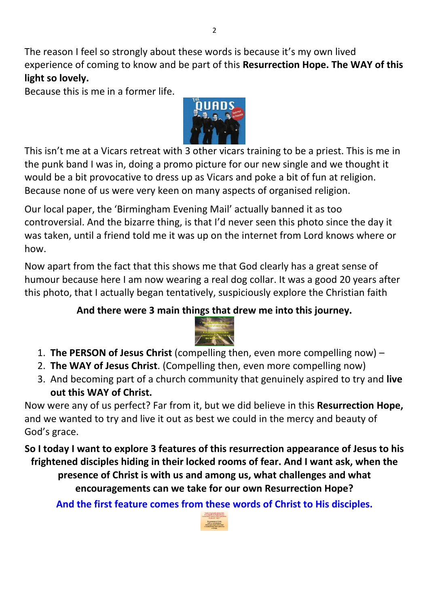The reason I feel so strongly about these words is because it's my own lived experience of coming to know and be part of this **Resurrection Hope. The WAY of this light so lovely.** 

Because this is me in a former life.



This isn't me at a Vicars retreat with 3 other vicars training to be a priest. This is me in the punk band I was in, doing a promo picture for our new single and we thought it would be a bit provocative to dress up as Vicars and poke a bit of fun at religion. Because none of us were very keen on many aspects of organised religion.

Our local paper, the 'Birmingham Evening Mail' actually banned it as too controversial. And the bizarre thing, is that I'd never seen this photo since the day it was taken, until a friend told me it was up on the internet from Lord knows where or how.

Now apart from the fact that this shows me that God clearly has a great sense of humour because here I am now wearing a real dog collar. It was a good 20 years after this photo, that I actually began tentatively, suspiciously explore the Christian faith

## **And there were 3 main things that drew me into this journey.**



- 1. **The PERSON of Jesus Christ** (compelling then, even more compelling now) –
- 2. **The WAY of Jesus Christ**. (Compelling then, even more compelling now)
- 3. And becoming part of a church community that genuinely aspired to try and **live out this WAY of Christ.**

Now were any of us perfect? Far from it, but we did believe in this **Resurrection Hope,** and we wanted to try and live it out as best we could in the mercy and beauty of God's grace.

**So I today I want to explore 3 features of this resurrection appearance of Jesus to his frightened disciples hiding in their locked rooms of fear. And I want ask, when the presence of Christ is with us and among us, what challenges and what encouragements can we take for our own Resurrection Hope?** 

**And the first feature comes from these words of Christ to His disciples.**

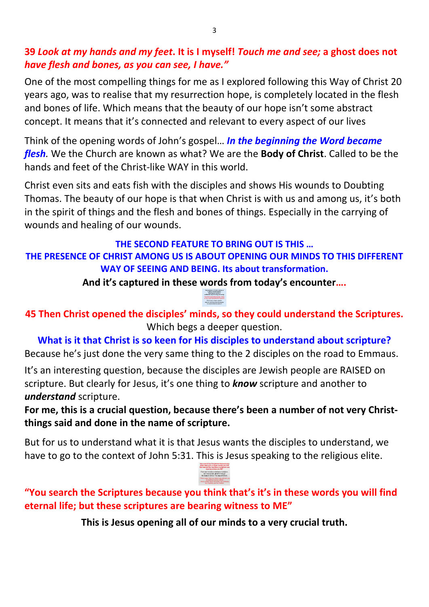### **39** *Look at my hands and my feet***. It is I myself!** *Touch me and see;* **a ghost does not**  *have flesh and bones, as you can see, I have."*

One of the most compelling things for me as I explored following this Way of Christ 20 years ago, was to realise that my resurrection hope, is completely located in the flesh and bones of life. Which means that the beauty of our hope isn't some abstract concept. It means that it's connected and relevant to every aspect of our lives

Think of the opening words of John's gospel… *In the beginning the Word became flesh.* We the Church are known as what? We are the **Body of Christ**. Called to be the hands and feet of the Christ-like WAY in this world.

Christ even sits and eats fish with the disciples and shows His wounds to Doubting Thomas. The beauty of our hope is that when Christ is with us and among us, it's both in the spirit of things and the flesh and bones of things. Especially in the carrying of wounds and healing of our wounds.

### **THE SECOND FEATURE TO BRING OUT IS THIS … THE PRESENCE OF CHRIST AMONG US IS ABOUT OPENING OUR MINDS TO THIS DIFFERENT WAY OF SEEING AND BEING. Its about transformation.**

**And it's captured in these words from today's encounter….** 

**45 Then Christ opened the disciples' minds, so they could understand the Scriptures.**  Which begs a deeper question.

**What is it that Christ is so keen for His disciples to understand about scripture?**  Because he's just done the very same thing to the 2 disciples on the road to Emmaus.

It's an interesting question, because the disciples are Jewish people are RAISED on scripture. But clearly for Jesus, it's one thing to *know* scripture and another to *understand* scripture.

**For me, this is a crucial question, because there's been a number of not very Christthings said and done in the name of scripture.** 

But for us to understand what it is that Jesus wants the disciples to understand, we have to go to the context of John 5:31. This is Jesus speaking to the religious elite.



**"You search the Scriptures because you think that's it's in these words you will find eternal life; but these scriptures are bearing witness to ME"**

**This is Jesus opening all of our minds to a very crucial truth.**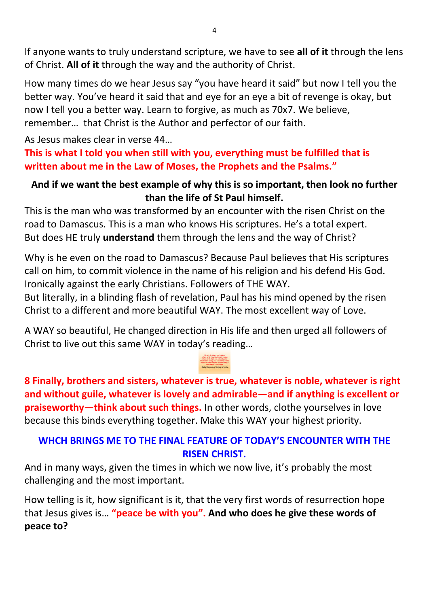If anyone wants to truly understand scripture, we have to see **all of it** through the lens of Christ. **All of it** through the way and the authority of Christ.

How many times do we hear Jesus say "you have heard it said" but now I tell you the better way. You've heard it said that and eye for an eye a bit of revenge is okay, but now I tell you a better way. Learn to forgive, as much as 70x7. We believe, remember… that Christ is the Author and perfector of our faith.

As Jesus makes clear in verse 44…

**This is what I told you when still with you, everything must be fulfilled that is written about me in the Law of Moses, the Prophets and the Psalms."**

### **And if we want the best example of why this is so important, then look no further than the life of St Paul himself.**

This is the man who was transformed by an encounter with the risen Christ on the road to Damascus. This is a man who knows His scriptures. He's a total expert. But does HE truly **understand** them through the lens and the way of Christ?

Why is he even on the road to Damascus? Because Paul believes that His scriptures call on him, to commit violence in the name of his religion and his defend His God. Ironically against the early Christians. Followers of THE WAY.

But literally, in a blinding flash of revelation, Paul has his mind opened by the risen Christ to a different and more beautiful WAY. The most excellent way of Love.

A WAY so beautiful, He changed direction in His life and then urged all followers of Christ to live out this same WAY in today's reading…

**8 Finally, brothers and sisters, whatever is true, whatever is noble, whatever is right and without guile, whatever is lovely and admirable—and if anything is excellent or praiseworthy—think about such things.** In other words, clothe yourselves in love because this binds everything together. Make this WAY your highest priority.

### **WHCH BRINGS ME TO THE FINAL FEATURE OF TODAY'S ENCOUNTER WITH THE RISEN CHRIST.**

And in many ways, given the times in which we now live, it's probably the most challenging and the most important.

How telling is it, how significant is it, that the very first words of resurrection hope that Jesus gives is… **"peace be with you". And who does he give these words of peace to?**